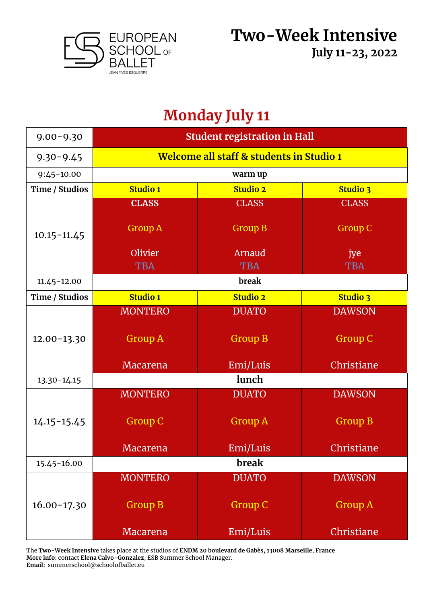

# **Monday July 11**

| $9.00 - 9.30$   | <b>Student registration in Hall</b>      |                                |                                |  |
|-----------------|------------------------------------------|--------------------------------|--------------------------------|--|
| $9.30 - 9.45$   | Welcome all staff & students in Studio 1 |                                |                                |  |
| $9:45 - 10.00$  | warm up                                  |                                |                                |  |
| Time / Studios  | <b>Studio 1</b>                          | <b>Studio 2</b>                | <b>Studio 3</b>                |  |
| $10.15 - 11.45$ | <b>CLASS</b><br><b>Group A</b>           | <b>CLASS</b><br><b>Group B</b> | <b>CLASS</b><br><b>Group C</b> |  |
|                 | Olivier<br><b>TBA</b>                    | Arnaud<br><b>TBA</b>           | jye<br><b>TBA</b>              |  |
| $11.45 - 12.00$ |                                          | break                          |                                |  |
| Time / Studios  | <b>Studio 1</b>                          | <b>Studio 2</b>                | Studio 3                       |  |
|                 | <b>MONTERO</b>                           | <b>DUATO</b>                   | <b>DAWSON</b>                  |  |
| $12.00 - 13.30$ | <b>Group A</b>                           | <b>Group B</b>                 | Group C                        |  |
|                 | Macarena                                 | Emi/Luis                       | Christiane                     |  |
| $13.30 - 14.15$ | lunch                                    |                                |                                |  |
|                 | <b>MONTERO</b>                           | <b>DUATO</b>                   | <b>DAWSON</b>                  |  |
| $14.15 - 15.45$ | <b>Group C</b>                           | <b>Group A</b>                 | <b>Group B</b>                 |  |
|                 | Macarena                                 | Emi/Luis                       | Christiane                     |  |
| 15.45-16.00     | break                                    |                                |                                |  |
|                 | <b>MONTERO</b>                           | <b>DUATO</b>                   | <b>DAWSON</b>                  |  |
| $16.00 - 17.30$ | <b>Group B</b>                           | <b>Group C</b>                 | <b>Group A</b>                 |  |
|                 | Macarena                                 | Emi/Luis                       | Christiane                     |  |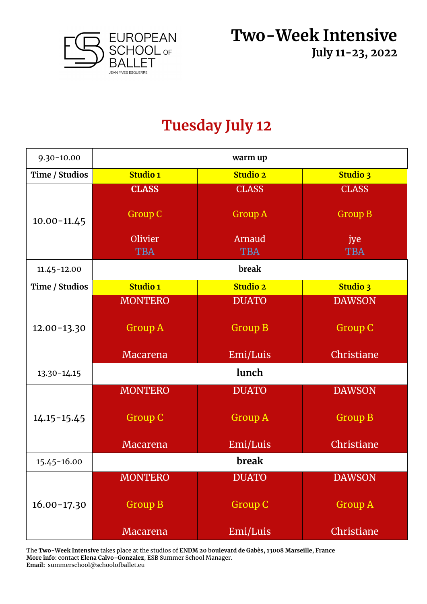

#### **Tuesday July 12**

| $9.30 - 10.00$  | warm up         |                 |                 |
|-----------------|-----------------|-----------------|-----------------|
| Time / Studios  | <b>Studio 1</b> | <b>Studio 2</b> | <b>Studio 3</b> |
|                 | <b>CLASS</b>    | <b>CLASS</b>    | <b>CLASS</b>    |
| $10.00 - 11.45$ | <b>Group C</b>  | <b>Group A</b>  | <b>Group B</b>  |
|                 | Olivier         | Arnaud          | jye             |
|                 | <b>TBA</b>      | <b>TBA</b>      | <b>TBA</b>      |
| $11.45 - 12.00$ |                 | break           |                 |
| Time / Studios  | <b>Studio 1</b> | <b>Studio 2</b> | <b>Studio 3</b> |
|                 | <b>MONTERO</b>  | <b>DUATO</b>    | <b>DAWSON</b>   |
| $12.00 - 13.30$ | <b>Group A</b>  | <b>Group B</b>  | <b>Group C</b>  |
|                 | Macarena        | Emi/Luis        | Christiane      |
| $13.30 - 14.15$ | lunch           |                 |                 |
|                 | <b>MONTERO</b>  | <b>DUATO</b>    | <b>DAWSON</b>   |
| $14.15 - 15.45$ | <b>Group C</b>  | <b>Group A</b>  | <b>Group B</b>  |
|                 | Macarena        | Emi/Luis        | Christiane      |
| 15.45-16.00     | break           |                 |                 |
|                 | <b>MONTERO</b>  | <b>DUATO</b>    | <b>DAWSON</b>   |
| $16.00 - 17.30$ | <b>Group B</b>  | <b>Group C</b>  | <b>Group A</b>  |
|                 | Macarena        | Emi/Luis        | Christiane      |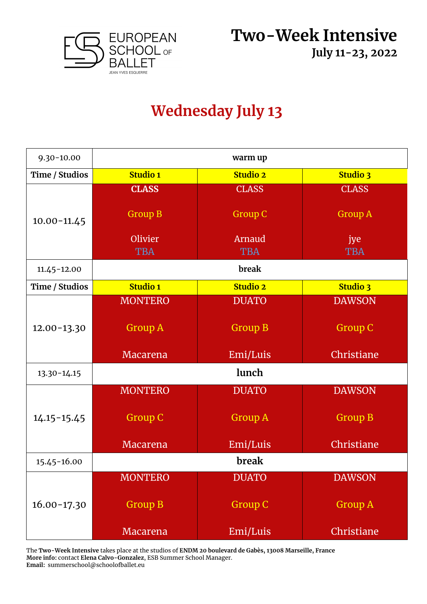

## **Wednesday July 13**

| $9.30 - 10.00$  | warm up         |                 |                 |
|-----------------|-----------------|-----------------|-----------------|
| Time / Studios  | <b>Studio 1</b> | <b>Studio 2</b> | <b>Studio 3</b> |
|                 | <b>CLASS</b>    | <b>CLASS</b>    | <b>CLASS</b>    |
| $10.00 - 11.45$ | <b>Group B</b>  | <b>Group C</b>  | <b>Group A</b>  |
|                 | Olivier         | Arnaud          | jye             |
|                 | <b>TBA</b>      | <b>TBA</b>      | <b>TBA</b>      |
| $11.45 - 12.00$ |                 | break           |                 |
| Time / Studios  | <b>Studio 1</b> | <b>Studio 2</b> | <b>Studio 3</b> |
|                 | <b>MONTERO</b>  | <b>DUATO</b>    | <b>DAWSON</b>   |
| $12.00 - 13.30$ | <b>Group A</b>  | <b>Group B</b>  | <b>Group C</b>  |
|                 | Macarena        | Emi/Luis        | Christiane      |
| 13.30-14.15     | lunch           |                 |                 |
|                 | <b>MONTERO</b>  | <b>DUATO</b>    | <b>DAWSON</b>   |
| $14.15 - 15.45$ | <b>Group C</b>  | <b>Group A</b>  | <b>Group B</b>  |
|                 | <b>Macarena</b> | Emi/Luis        | Christiane      |
| 15.45-16.00     |                 | break           |                 |
|                 | <b>MONTERO</b>  | <b>DUATO</b>    | <b>DAWSON</b>   |
| $16.00 - 17.30$ | <b>Group B</b>  | <b>Group C</b>  | <b>Group A</b>  |
|                 | Macarena        | Emi/Luis        | Christiane      |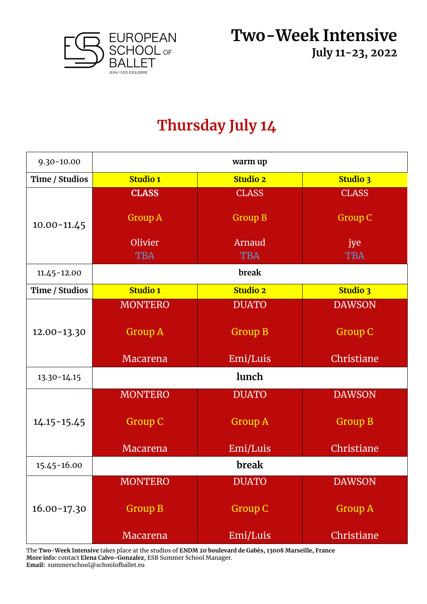

### **Thursday July 14**

| $9.30 - 10.00$  | warm up         |                 |                 |
|-----------------|-----------------|-----------------|-----------------|
| Time / Studios  | <b>Studio 1</b> | <b>Studio 2</b> | <b>Studio 3</b> |
|                 | <b>CLASS</b>    | <b>CLASS</b>    | <b>CLASS</b>    |
| $10.00 - 11.45$ | <b>Group A</b>  | <b>Group B</b>  | <b>Group C</b>  |
|                 | Olivier         | Arnaud          | jye             |
|                 | <b>TBA</b>      | <b>TBA</b>      | <b>TBA</b>      |
| $11.45 - 12.00$ |                 | break           |                 |
| Time / Studios  | <b>Studio 1</b> | <b>Studio 2</b> | <b>Studio 3</b> |
|                 | <b>MONTERO</b>  | <b>DUATO</b>    | <b>DAWSON</b>   |
| $12.00 - 13.30$ | <b>Group A</b>  | <b>Group B</b>  | <b>Group C</b>  |
|                 | Macarena        | Emi/Luis        | Christiane      |
| $13.30 - 14.15$ | lunch           |                 |                 |
|                 | <b>MONTERO</b>  | <b>DUATO</b>    | <b>DAWSON</b>   |
| $14.15 - 15.45$ | <b>Group C</b>  | <b>Group A</b>  | <b>Group B</b>  |
|                 | <b>Macarena</b> | Emi/Luis        | Christiane      |
| 15.45-16.00     | break           |                 |                 |
|                 | <b>MONTERO</b>  | <b>DUATO</b>    | <b>DAWSON</b>   |
| $16.00 - 17.30$ | <b>Group B</b>  | <b>Group C</b>  | <b>Group A</b>  |
|                 | Macarena        | Emi/Luis        | Christiane      |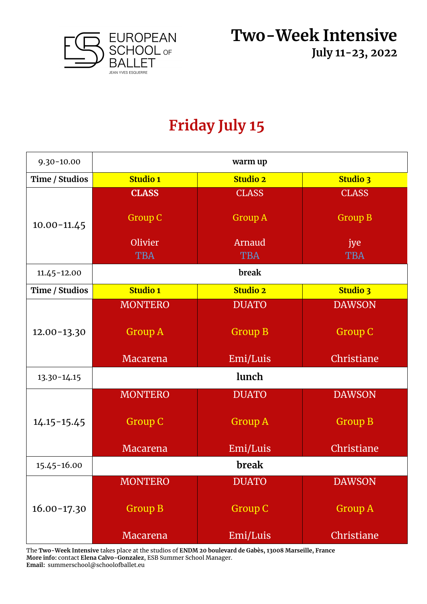

## **Friday July 15**

| $9.30 - 10.00$  | warm up         |                 |                 |
|-----------------|-----------------|-----------------|-----------------|
| Time / Studios  | <b>Studio 1</b> | <b>Studio 2</b> | <b>Studio 3</b> |
|                 | <b>CLASS</b>    | <b>CLASS</b>    | <b>CLASS</b>    |
| $10.00 - 11.45$ | <b>Group C</b>  | <b>Group A</b>  | <b>Group B</b>  |
|                 | Olivier         | Arnaud          | jye             |
|                 | <b>TBA</b>      | <b>TBA</b>      | <b>TBA</b>      |
| $11.45 - 12.00$ |                 | break           |                 |
| Time / Studios  | <b>Studio 1</b> | <b>Studio 2</b> | <b>Studio 3</b> |
|                 | <b>MONTERO</b>  | <b>DUATO</b>    | <b>DAWSON</b>   |
| $12.00 - 13.30$ | <b>Group A</b>  | <b>Group B</b>  | <b>Group C</b>  |
|                 | <b>Macarena</b> | Emi/Luis        | Christiane      |
| $13.30 - 14.15$ | lunch           |                 |                 |
|                 | <b>MONTERO</b>  | <b>DUATO</b>    | <b>DAWSON</b>   |
| $14.15 - 15.45$ | <b>Group C</b>  | <b>Group A</b>  | <b>Group B</b>  |
|                 | Macarena        | Emi/Luis        | Christiane      |
| 15.45-16.00     |                 | break           |                 |
|                 | <b>MONTERO</b>  | <b>DUATO</b>    | <b>DAWSON</b>   |
| $16.00 - 17.30$ | <b>Group B</b>  | <b>Group C</b>  | <b>Group A</b>  |
|                 | Macarena        | Emi/Luis        | Christiane      |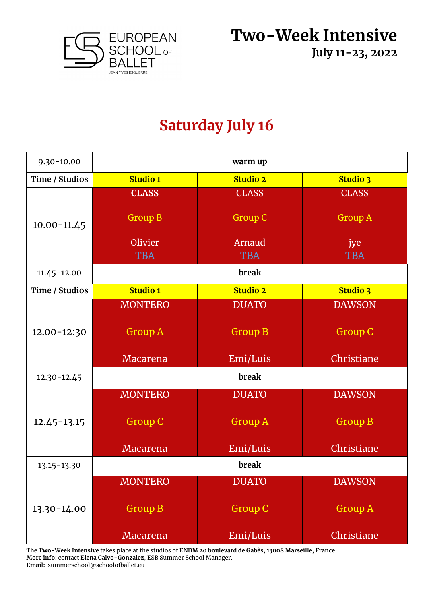

### **Saturday July 16**

| $9.30 - 10.00$  | warm up         |                 |                 |  |
|-----------------|-----------------|-----------------|-----------------|--|
| Time / Studios  | <b>Studio 1</b> | <b>Studio 2</b> | <b>Studio 3</b> |  |
|                 | <b>CLASS</b>    | <b>CLASS</b>    | <b>CLASS</b>    |  |
| $10.00 - 11.45$ | <b>Group B</b>  | <b>Group C</b>  | <b>Group A</b>  |  |
|                 | Olivier         | Arnaud          | jye             |  |
|                 | <b>TBA</b>      | <b>TBA</b>      | <b>TBA</b>      |  |
| $11.45 - 12.00$ |                 | break           |                 |  |
| Time / Studios  | <b>Studio 1</b> | <b>Studio 2</b> | <b>Studio 3</b> |  |
|                 | <b>MONTERO</b>  | <b>DUATO</b>    | <b>DAWSON</b>   |  |
| 12.00-12:30     | <b>Group A</b>  | <b>Group B</b>  | <b>Group C</b>  |  |
|                 | Macarena        | Emi/Luis        | Christiane      |  |
| $12.30 - 12.45$ | break           |                 |                 |  |
|                 | <b>MONTERO</b>  | <b>DUATO</b>    | <b>DAWSON</b>   |  |
| $12.45 - 13.15$ | <b>Group C</b>  | <b>Group A</b>  | <b>Group B</b>  |  |
|                 | <b>Macarena</b> | Emi/Luis        | Christiane      |  |
| 13.15-13.30     |                 | break           |                 |  |
|                 | <b>MONTERO</b>  | <b>DUATO</b>    | <b>DAWSON</b>   |  |
| 13.30-14.00     | <b>Group B</b>  | <b>Group C</b>  | <b>Group A</b>  |  |
|                 | Macarena        | Emi/Luis        | Christiane      |  |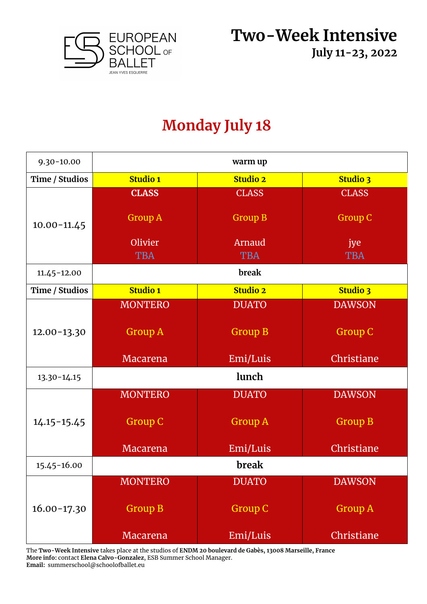

## **Monday July 18**

| $9.30 - 10.00$  | warm up         |                 |                 |
|-----------------|-----------------|-----------------|-----------------|
| Time / Studios  | <b>Studio 1</b> | <b>Studio 2</b> | <b>Studio 3</b> |
|                 | <b>CLASS</b>    | <b>CLASS</b>    | <b>CLASS</b>    |
| $10.00 - 11.45$ | <b>Group A</b>  | <b>Group B</b>  | <b>Group C</b>  |
|                 | Olivier         | Arnaud          | jye             |
|                 | <b>TBA</b>      | <b>TBA</b>      | <b>TBA</b>      |
| $11.45 - 12.00$ |                 | break           |                 |
| Time / Studios  | <b>Studio 1</b> | <b>Studio 2</b> | <b>Studio 3</b> |
|                 | <b>MONTERO</b>  | <b>DUATO</b>    | <b>DAWSON</b>   |
| $12.00 - 13.30$ | <b>Group A</b>  | <b>Group B</b>  | <b>Group C</b>  |
|                 | Macarena        | Emi/Luis        | Christiane      |
| $13.30 - 14.15$ | lunch           |                 |                 |
|                 | <b>MONTERO</b>  | <b>DUATO</b>    | <b>DAWSON</b>   |
| $14.15 - 15.45$ | <b>Group C</b>  | <b>Group A</b>  | <b>Group B</b>  |
|                 | <b>Macarena</b> | Emi/Luis        | Christiane      |
| 15.45-16.00     |                 | break           |                 |
|                 | <b>MONTERO</b>  | <b>DUATO</b>    | <b>DAWSON</b>   |
| $16.00 - 17.30$ | <b>Group B</b>  | <b>Group C</b>  | <b>Group A</b>  |
|                 | Macarena        | Emi/Luis        | Christiane      |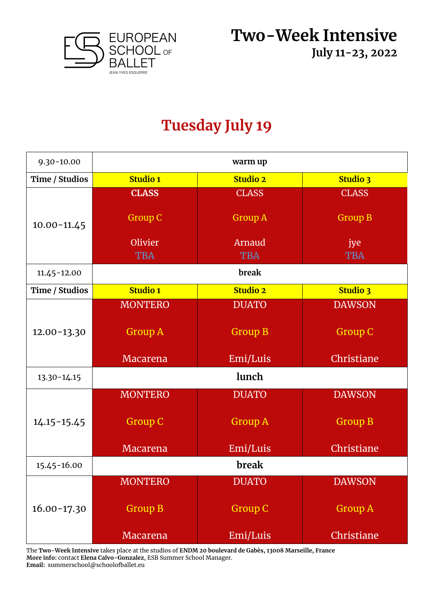

#### **Tuesday July 19**

| $9.30 - 10.00$  | warm up         |                 |                 |
|-----------------|-----------------|-----------------|-----------------|
| Time / Studios  | <b>Studio 1</b> | <b>Studio 2</b> | <b>Studio 3</b> |
|                 | <b>CLASS</b>    | <b>CLASS</b>    | <b>CLASS</b>    |
| $10.00 - 11.45$ | <b>Group C</b>  | <b>Group A</b>  | <b>Group B</b>  |
|                 | Olivier         | Arnaud          | jye             |
|                 | <b>TBA</b>      | <b>TBA</b>      | <b>TBA</b>      |
| $11.45 - 12.00$ |                 | break           |                 |
| Time / Studios  | <b>Studio 1</b> | <b>Studio 2</b> | <b>Studio 3</b> |
|                 | <b>MONTERO</b>  | <b>DUATO</b>    | <b>DAWSON</b>   |
| $12.00 - 13.30$ | <b>Group A</b>  | <b>Group B</b>  | <b>Group C</b>  |
|                 | Macarena        | Emi/Luis        | Christiane      |
| $13.30 - 14.15$ | lunch           |                 |                 |
|                 | <b>MONTERO</b>  | <b>DUATO</b>    | <b>DAWSON</b>   |
| $14.15 - 15.45$ | <b>Group C</b>  | <b>Group A</b>  | <b>Group B</b>  |
|                 | Macarena        | Emi/Luis        | Christiane      |
| 15.45-16.00     |                 | break           |                 |
|                 | <b>MONTERO</b>  | <b>DUATO</b>    | <b>DAWSON</b>   |
| $16.00 - 17.30$ | <b>Group B</b>  | <b>Group C</b>  | <b>Group A</b>  |
|                 | Macarena        | Emi/Luis        | Christiane      |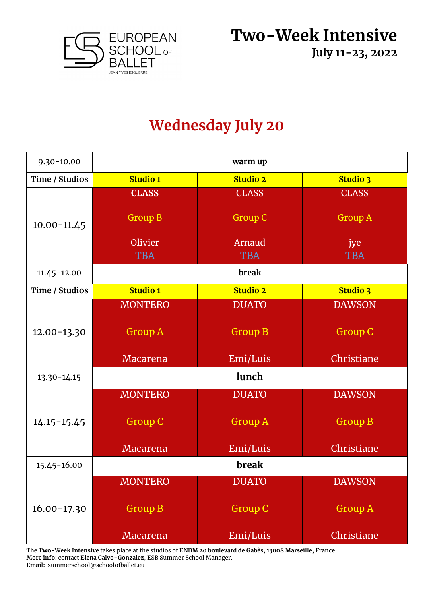

## **Wednesday July 20**

| $9.30 - 10.00$  | warm up         |                 |                 |
|-----------------|-----------------|-----------------|-----------------|
| Time / Studios  | <b>Studio 1</b> | <b>Studio 2</b> | <b>Studio 3</b> |
|                 | <b>CLASS</b>    | <b>CLASS</b>    | <b>CLASS</b>    |
| $10.00 - 11.45$ | <b>Group B</b>  | <b>Group C</b>  | <b>Group A</b>  |
|                 | Olivier         | Arnaud          | jye             |
|                 | <b>TBA</b>      | <b>TBA</b>      | <b>TBA</b>      |
| $11.45 - 12.00$ |                 | break           |                 |
| Time / Studios  | <b>Studio 1</b> | <b>Studio 2</b> | <b>Studio 3</b> |
|                 | <b>MONTERO</b>  | <b>DUATO</b>    | <b>DAWSON</b>   |
| $12.00 - 13.30$ | <b>Group A</b>  | <b>Group B</b>  | <b>Group C</b>  |
|                 | Macarena        | Emi/Luis        | Christiane      |
| $13.30 - 14.15$ | lunch           |                 |                 |
|                 | <b>MONTERO</b>  | <b>DUATO</b>    | <b>DAWSON</b>   |
| $14.15 - 15.45$ | <b>Group C</b>  | <b>Group A</b>  | <b>Group B</b>  |
|                 | <b>Macarena</b> | Emi/Luis        | Christiane      |
| 15.45-16.00     |                 | break           |                 |
|                 | <b>MONTERO</b>  | <b>DUATO</b>    | <b>DAWSON</b>   |
| $16.00 - 17.30$ | <b>Group B</b>  | <b>Group C</b>  | <b>Group A</b>  |
|                 | Macarena        | Emi/Luis        | Christiane      |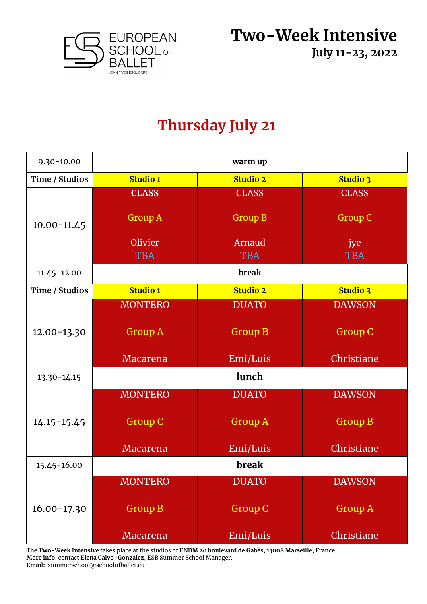

## **Thursday July 21**

| $9.30 - 10.00$  | warm up         |                 |                 |
|-----------------|-----------------|-----------------|-----------------|
| Time / Studios  | <b>Studio 1</b> | <b>Studio 2</b> | <b>Studio 3</b> |
|                 | <b>CLASS</b>    | <b>CLASS</b>    | <b>CLASS</b>    |
| $10.00 - 11.45$ | <b>Group A</b>  | <b>Group B</b>  | <b>Group C</b>  |
|                 | Olivier         | Arnaud          | jye             |
|                 | <b>TBA</b>      | <b>TBA</b>      | <b>TBA</b>      |
| $11.45 - 12.00$ |                 | break           |                 |
| Time / Studios  | <b>Studio 1</b> | <b>Studio 2</b> | <b>Studio 3</b> |
|                 | <b>MONTERO</b>  | <b>DUATO</b>    | <b>DAWSON</b>   |
| $12.00 - 13.30$ | <b>Group A</b>  | <b>Group B</b>  | <b>Group C</b>  |
|                 | Macarena        | Emi/Luis        | Christiane      |
| $13.30 - 14.15$ | lunch           |                 |                 |
|                 | <b>MONTERO</b>  | <b>DUATO</b>    | <b>DAWSON</b>   |
| $14.15 - 15.45$ | <b>Group C</b>  | <b>Group A</b>  | <b>Group B</b>  |
|                 | <b>Macarena</b> | Emi/Luis        | Christiane      |
| 15.45-16.00     | break           |                 |                 |
|                 | <b>MONTERO</b>  | <b>DUATO</b>    | <b>DAWSON</b>   |
| $16.00 - 17.30$ | <b>Group B</b>  | <b>Group C</b>  | <b>Group A</b>  |
|                 | <b>Macarena</b> | Emi/Luis        | Christiane      |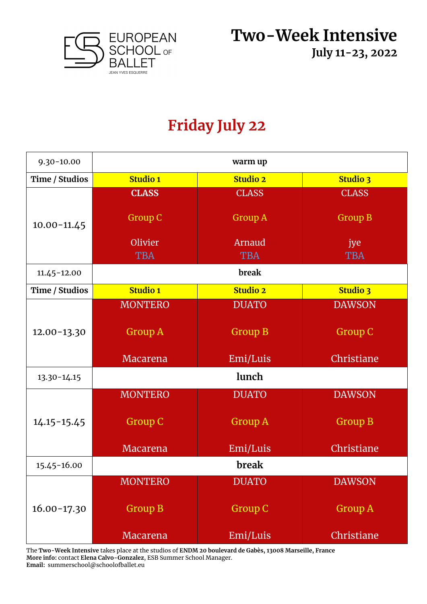

#### **Friday July 22**

| $9.30 - 10.00$  | warm up         |                 |                 |
|-----------------|-----------------|-----------------|-----------------|
| Time / Studios  | <b>Studio 1</b> | <b>Studio 2</b> | <b>Studio 3</b> |
|                 | <b>CLASS</b>    | <b>CLASS</b>    | <b>CLASS</b>    |
| $10.00 - 11.45$ | <b>Group C</b>  | <b>Group A</b>  | <b>Group B</b>  |
|                 | Olivier         | Arnaud          | jye             |
|                 | <b>TBA</b>      | <b>TBA</b>      | <b>TBA</b>      |
| $11.45 - 12.00$ |                 | break           |                 |
| Time / Studios  | <b>Studio 1</b> | <b>Studio 2</b> | <b>Studio 3</b> |
|                 | <b>MONTERO</b>  | <b>DUATO</b>    | <b>DAWSON</b>   |
| $12.00 - 13.30$ | <b>Group A</b>  | <b>Group B</b>  | <b>Group C</b>  |
|                 | <b>Macarena</b> | Emi/Luis        | Christiane      |
| $13.30 - 14.15$ | lunch           |                 |                 |
|                 | <b>MONTERO</b>  | <b>DUATO</b>    | <b>DAWSON</b>   |
| $14.15 - 15.45$ | <b>Group C</b>  | <b>Group A</b>  | <b>Group B</b>  |
|                 | Macarena        | Emi/Luis        | Christiane      |
| 15.45-16.00     |                 | break           |                 |
|                 | <b>MONTERO</b>  | <b>DUATO</b>    | <b>DAWSON</b>   |
| $16.00 - 17.30$ | <b>Group B</b>  | <b>Group C</b>  | <b>Group A</b>  |
|                 | Macarena        | Emi/Luis        | Christiane      |